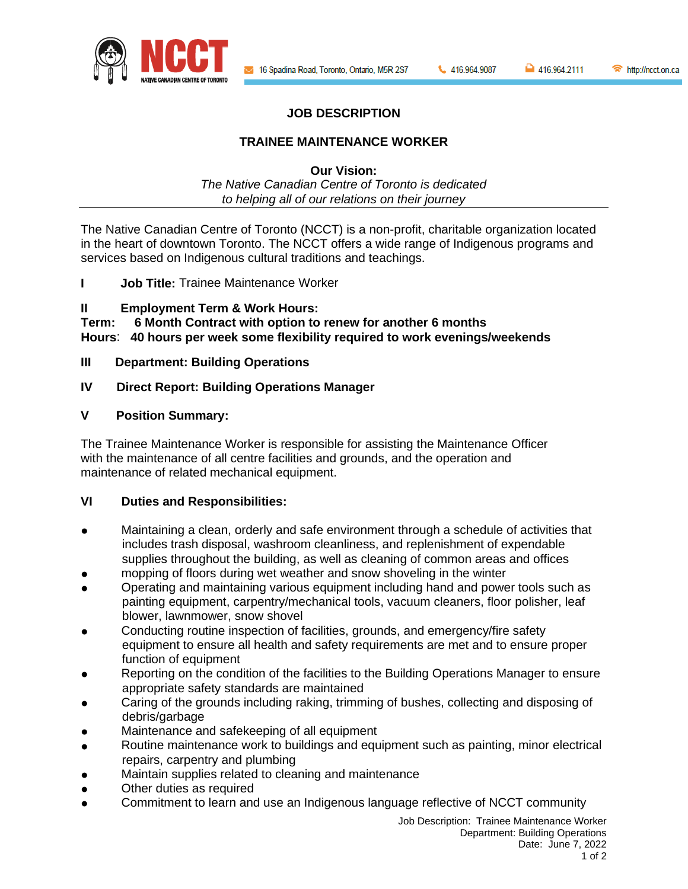

http://ncct.on.ca

# **JOB DESCRIPTION**

# **TRAINEE MAINTENANCE WORKER**

**Our Vision:**

*The Native Canadian Centre of Toronto is dedicated to helping all of our relations on their journey*

The Native Canadian Centre of Toronto (NCCT) is a non-profit, charitable organization located in the heart of downtown Toronto. The NCCT offers a wide range of Indigenous programs and services based on Indigenous cultural traditions and teachings.

**I Job Title:** Trainee Maintenance Worker

# **II Employment Term & Work Hours:**

**Term: 6 Month Contract with option to renew for another 6 months Hours**: **40 hours per week some flexibility required to work evenings/weekends**

# **III Department: Building Operations**

# **IV Direct Report: Building Operations Manager**

# **V Position Summary:**

The Trainee Maintenance Worker is responsible for assisting the Maintenance Officer with the maintenance of all centre facilities and grounds, and the operation and maintenance of related mechanical equipment.

### **VI Duties and Responsibilities:**

- Maintaining a clean, orderly and safe environment through a schedule of activities that includes trash disposal, washroom cleanliness, and replenishment of expendable supplies throughout the building, as well as cleaning of common areas and offices
- mopping of floors during wet weather and snow shoveling in the winter
- Operating and maintaining various equipment including hand and power tools such as painting equipment, carpentry/mechanical tools, vacuum cleaners, floor polisher, leaf blower, lawnmower, snow shovel
- Conducting routine inspection of facilities, grounds, and emergency/fire safety equipment to ensure all health and safety requirements are met and to ensure proper function of equipment
- Reporting on the condition of the facilities to the Building Operations Manager to ensure appropriate safety standards are maintained
- Caring of the grounds including raking, trimming of bushes, collecting and disposing of debris/garbage
- Maintenance and safekeeping of all equipment
- Routine maintenance work to buildings and equipment such as painting, minor electrical repairs, carpentry and plumbing
- Maintain supplies related to cleaning and maintenance
- Other duties as required
- Commitment to learn and use an Indigenous language reflective of NCCT community